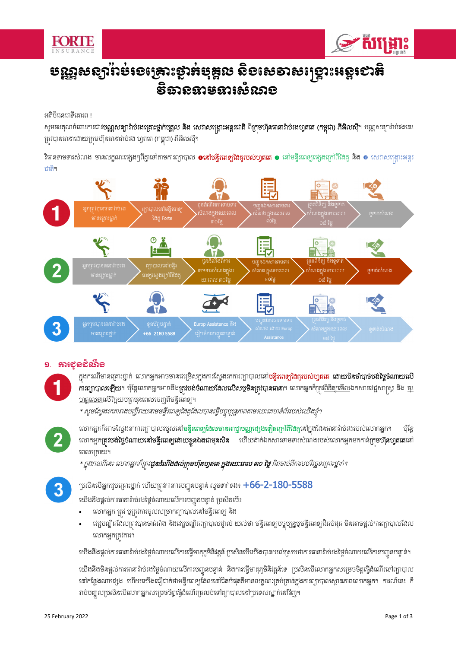



# បណ្ណឹសនាំបុងខេច្រោះសង្គមដ៏ច្នេ បុគ្គល ស្ថាបុគ្គល និងស្រុះសូរស្រ ទីធានឧាទនារសលាខ

អតិថិជនជាទីគោរព !

សូមអរគុណចំពោះការជាវ**បណ្ណសន្យារ៉ាប់រងគ្រោះថ្នាក់បុគ្គល និង សេវាសង្គ្រោះអន្តរជាតិ ពីក្រុមហ៊ុនធានារ៉ាប់រងហ្វតតេ (កម្ពុជា) ភីអិលស៊ី។ បណ្ណសន្យារ៉ាប់រងនេះ** ស្រីបានធានាដោយក្រមហ៊ុនធានារ៉ាប់រង ហ្វតតេ (កម្ពុជា) ភីអិលស៊ី។

វិធានទាមទារសំណង មានលក្ខណៈផ្សេងៗពីគ្នាទៅតាមការព្យាបាល ●នៅមន្ទីរពេ**ទ្យជៃគួរបស់ហ្វតតេ ●** នៅមន្ទីរពេទ្យផ្សេងក្រៅពីដៃគូ និង ● សេវាសង្គ្រោះអន្ទរ ជាតិ។



## **ការ**បុខដំណឹខ

ក្នុងករណីមានគ្រោះថ្នាក់ លោកអ្នកអាចមានជម្រើសក្នុងការស្វែងរកការព្យាបាលនៅ**មន្ទីរពេទ្យដៃគូរបស់ហ្វតតេ ដោយមិនចាំបាច់បងថ្ងៃចំណាយលើ** ĖО การทุกตางญี่โชฯ ថ្ម័ន្តលោកអ្នកអាចនឹងត្រូវបង់ចំណាយដែលលើសថ្មមិនត្រូវបានធានា។ លោកអ្នកក៏ត្រះ<u>ពិនិត្យមើល</u>ឯកសារវេជ្ជសាស្ត្រ និង <u>ច</u>ះ <u>ហត្ថលេខា</u>លើវិក្កយបត្រមុនពេលចេញពីមន្ទីរពេទ្យ។

\* សូមស្វែងរកតារាងបញ្ចីរាយនាមមន្ទីរពេទ្យដៃគូដែលបានធ្វើបច្ចុប្បន្នភាពតាមរយ:គេហទំព័ររបស់យើងខ្ញុំ។

 $\overline{2}$ 

លោកអ្នកក៏អាចស្វែងរកការព្យាបាលរបួសនៅ**មន្ទីរពេទ្យដែលមានអាជ្ញាបណ្ឌផ្សេងទៀតក្រៅពីដេ**ក្ខុនៅក្នុងដែនធានារ៉ាប់រងរបស់លោកអ្នក។ ប៉ុន្តែ ĖО លោកអ្នក**ត្រូវបង់ថ្ងៃចំណាយនៅមន្ទីរពេទ្យដោយខ្លួនឯងជាមុនសឺន** ហើយដាក់ឯកសារទាមទារសំណងរបស់លោកអ្នកមកកាន់**ក្រមហ៊ុនហូតតេ**នៅ  $\vdots$ ពេលក្រោយ។

\* ក្នុងករណីនេះ លោកអ្នកក៏គ្រូវ**ដូនដំណឹងដល់ក្រុមហ៊ុនហ្វឥតេ ក្នុងរយៈពេល ៣០ ថ្ងៃ** គិតចាច់ពីកាលបរិល្ជទម្រោះថ្នាក់។

3

ប្រសិនបើអ្នកជួបគ្រោះថ្នាក់ ហើយត្រូវការការបញ្ចូនបន្ទាន់ សូមទាក់ទង៖  $\pm 66$ –2– $180$ – $5588$ l

យើងនិងផ្តល់ការធានារ៉ាប់រងថ្ងៃចំណាយលើការបញ្ជូនបន្ទាន់ ប្រសិនបើ៖  $\mathbf{I}$ 

- លោកអ្នក ត្រវ ឬត្រវការចូលសម្រាកព្យាបាលនៅមន្ទីរពេទ្យ និង
- ដេជ្ជបណ្ឌិតដែលត្រវបានចាត់តាំង និងវេជ្ជបណ្ឌិតព្យាបាលផ្ទាល់ យល់ថា មន្ទីរពេទ្យបច្ឆុប្បន្នឬមន្ទីរពេទ្យឯតបំផុត មិនអាចផ្តល់ការព្យាបាលងែល លោកអ្នកត្រវការ។

យើងនិងផ្តល់ការធានារ៉ាប់រងថ្ងៃចំណាយលើការធ្វើមាតុភូមិនិវត្តន៍ ប្រសិនបើយើងបានយល់ស្របថាការធានារ៉ាប់រងថ្ងៃចំណាយលើការបញ្ជូនបន្ទាន់។ ąС

យើងនិងមិនផ្តល់ការធានារ៉ាប់រងថ្ងៃចំណាយលើការបញ្ជូនបន្ទាន់ និងការធ្វើមាតុភូមិនិវត្តន៍ទេ ប្រសិនបើលោកអ្នកសម្រេចចិត្តធ្វើដំណើរទៅព្យាបាល  $\mathbf{I}$ នៅកន្លែងណាផ្សេង ហើយយើងជឿជាក់ថាមន្ទីរពេទ្យងែលនៅជិតបំផុតគឺមានលក្ខណៈគ្រប់គ្រាន់ក្នុងការព្យាបាលស្ថានភាពលោកអ្នក។ ការណ៍នេះ ក៏ រាប់បញ្ចូលប្រសិនបើលោកអ្នកសម្រេចចិត្តធ្វើដំណើរត្រលប់ទៅព្យាបាលនៅប្រទេសស្នាក់នៅវិញ។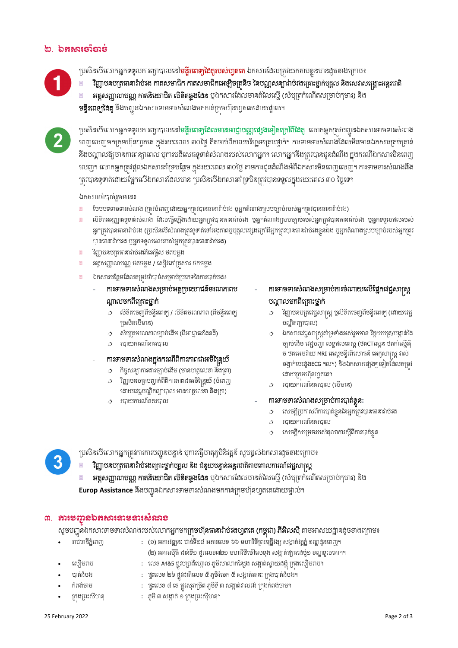- 
- 
- ˝еĮ₣сČņ : ĩĀйЮŲŠ ៨ Юű ĩųСŷ₤ŬŪņ Н Њij ķРņЊ◦Бư ₤İ˛ijсǻŲŷ₣с Ū˝₣О ˝еĮ₣Čņ с ¤
- 
- 

សូមបញ្ជូនឯកសារទាមទារសំណងរបស់លោកអ្នកមក**ក្រមហ៊ុនធានារ៉ាប់រងហូតតេ (កម្ពុជា) ភីអីលសី** តាមអាសយដ្ឋានងូចខាងក្រោម៖

- 
- 
- 

 $\overline{\phantom{a}}$ 

- 
- 
- 
- 
- 
- 
- 
- ģijсřеĠ₣ : ĩĀйЮŲŠ Ừ ĩųСŷďijЊЮŲŠ ̣ ķРņЊũжЮş˝ ̣ ₤İ˛ijсũijĕк Ū˝₣ģij О сřеĠ₣¤
- 
- Ю₤ЬņŬĠ : ЮŲŠ A4&5 ĩųСŷ΅⅝řЮΉЙ ðŲ ķРņЊ⅜ŵ˝Яĕ℮₣ ₤İ˛ijс⅜ſŎř₣ðОеŪ˝₣Ю₤ЬņŬĠ О ¤

**អត្តសញ្ញាណបណ្ណ កាតនិយោជិត លិខិតឆ្លូងងែន** ឬឯកសារងែលមានតំលៃស្មើ (សំប្បត្រកំណើតសម្រាប់កុមារ) និង

- (២) អគារស៊ីធី ជាន់ទី១ ផ្ទះលេខ៣២១ មហាវិថីម៉ៅសេទុង សង្កាត់ផ្សារដេប៉ូ១ ខណ្ឌទូលគោក។
- 
- 
- 
- 
- 
- -
	-
- 
- 

រាជធានីភ្នំពេញ (១) អគារវឌ្ឍន: ជាន់ទី១៨ អគារលេខ ៦៦ មហាវិថីព្រះមន្ទីរង្ស សង្កាត់វត្តភ្នំ ខណ្ឌដូនពេញ។

- 
- 
- 
- 
- 
- 
- 
- 
- 
- 
- -
	-
	-
- Ū˝О₣ŪĮй₤Б΅ĕН : ķРņЊư ₤İ˛ijс ơ Ū˝₣ŪĮй₤ О НБ΅ĕН¤
- ៣. ភារមញ្ជូនឯគសារនាទនារសលាខ

**Europ Assistance** នឹងបញ្ជូនឯកសារទាមទារសំណងមកកាន់ក្រមហ៊ុនហ្វតតេជោយផ្ទាល់។ ļ

fបសិនបើលោកអ្នកត្រូវការការបញ្ជូនបន្ទាន់ បុការធ្វើមាតុភូមិនិវត្តន៍ សូមផ្តល់ឯកសារដូចខាងក្រោម៖

វិញ្ញាបនបត្រធានារ៉ាប់រងគ្រោះថ្នាក់បុគ្គល និង ជំនួយបន្ទាន់អន្តរជាតិតាមគោលការណ៍វេជ្ជសាស្ត្រ

- 
- $\phi$  របាយការណ៍នគរបាល

ការទាមទារសំណងសម្រាប់ការបាត់ខ្លួន:

 $\varphi$  សេចក្តីប្រកាសពីការបាត់ខ្លួននៃអ្នកត្រូវបានធានារ៉ាប់រង

នសចក្តីសម្រេចរបស់តុលាការស្តីពីការបាត់ខ្លួន

ដោយក្រមហ៊ុនហ្វតតេ។  $\alpha$  របាយការណ៍នគរបាល (បើមាន)

 $\phi$  របាយការណ៍នគរបាល

- $\omega$  ឯកសារវេជ្ជសាស្ត្រគាំទ្រទាំងអស់រួមមាន វិក្កយបត្រ/បង្កាន់នៃ ច្បាប់ងើម វេជ្ជបញ្ហា លទ្ធផលតេស្ត (ថតCTស្កេន ថតកាំរស្មីអ៊ិ ច ថតអេមរ៉ាយ MRI គេស្គមន្ទីរពិសោធន៍ អេកូសាស្ត្រ វាស់ ចង្វាក់បេះដូងECG ។ល។) និងឯកសារផ្សេងៗទៀតដែលតម្រវ
- វិញ្ញាបនបត្រវេដ្ជសាស្ត្រ ឬលិខិតចេញពីមន្ទីរពេទ្យ (ដោយវេជ្ជ បណ្ឌិតព្យាបាល)
- បណ្តាលមកពីត្រោះថ្នាក់
- ការទាមទារសំណងសម្រាប់ការចំណាយលើផ្នែកវេជ្ជសាស្ត្រ
- ឯកសារបន្ថែមដែលតម្រវចាំបាច់សម្រាប់ប្រភេទនៃការបាត់បង់៖

ការទាមទារសំណងសម្រាប់អត្ថប្រយោជន៍មរណភាពប

 $\phi$  សំបុត្រមរណភាពច្បាប់ដើម (ពីអាជ្ញាធរដែនដី)

ការទាមទារសំណងក្នុងករណីពិការភាពជាអចិន្ត្រៃយ៍  $\varphi$  កិច្ចសន្យាការងារច្បាប់ដើម (មានហត្ថលេខា និងត្រា)  $\phi$  វិញ្ញាបនបត្របញ្ជាក់ពីពិការភាពជាអចិន្ត្រៃយ៍ (បំពេញ សោយវេជ្ជបណ្ឌិតព្យាបាល មានហត្ថលេខា និងត្រា)

 $\mathbf{I}$ 

្រសិនិតចេញពីមន្ទីរពេទ្យ / លិខិតមរណភាព (ពីមន្ទីរពេទ្យ

- ষর্हুសញ្ញាណបណ្ណ ថតចម្លង / សៀវភៅគ្រសារ ថតចម្លង
- 

ណ្តាលមកពីក្រោះថ្នាក់

ប្រសិនបើមាន)

 $\phi$  របាយការណ៍នគរបាល

- វិញ្ញាបនបត្រធានារ៉ាប់រងភីអេផ្ចីស ថតចម្តង
- បានធានារ៉ាប់រង ប្អូអ្នកទទួលផលរបស់អ្នកត្រូវបានធានារ៉ាប់រង)
- 0 ទិតអនុញ្ញាតទូទាត់សំណង ងែលធ្វើឡើងដោយអ្នកត្រវបានធានារ៉ាប់រង ប្តូអ្នកតំណាងស្របច្បាប់របស់អ្នកត្រវបានធានារ៉ាប់រង ប្តូអ្នកទទួលផលរបស់ អ្នកត្រវបានធានារ៉ាប់រង (ប្រសិនបើសំណងត្រូវទូទាត់ទៅអង្គភាពបុបគ្នលផ្សេងក្រៅពីអ្នកត្រូវបានធានរ៉ាប់រងខុនឯង បុអ្នកតំណាងស្របចាប់របស់អ្នកត្រូវ
- 
- 
- 
- 
- 
- 
- 
- 
- 
- 
- 
- ថែបបទទាមទារសំណង (ត្រវបំពេញដោយអ្នកត្រវបានធានារ៉ាប់រង ឬអ្នកតំណាងស្របច្បាប់របស់អ្នកត្រវបានធានារ៉ាប់រង)

ក្រវបានទូទាត់ដោយផ្អែកលើឯកសារដែលមាន ប្រសិនបើឯកសារគាំទ្រមិនត្រូវបានទទួល<u>ក្នុ</u>ងរយៈពេល ៣០ ថ្ងៃទេ។ ĖО ឯកសារចាំបាច់រួមមាន៖

†បសិនបើលោកអ្នកទទួលការព្យាបាលនៅមន្ទីរពេ**ទ្យដែលមានអាជ្ញាបណ្ណផ្សេងទៀតក្រៅពីជែ**គ្គ លោកអ្នកត្រវបញ្ជូនឯកសារទាមទារសំណង ąС ពេញលេញមកក្រមហ៊ុនហ្វតតេ ក្នុងរយៈពេល ៣០ថ្ងៃ គិតចាប់ពីកាលបរិច្ឆេទក្រោះថ្នាក់។ ការទាមទារសំណងដែលមិនមានឯកសារគ្រប់គ្រាន់ ĖО នឹងបណ្តាលឱ្យមានការពន្យាពេល ឬការបដិសេធទូទាត់សំណងរបស់លោកអ្នក។ លោកអ្នកនឹងត្រវបានជូនដំណឹង ក្នុងករណីឯកសារមិនពេញ លេញ។ លោកអ្នកត្រូវផ្តល់ឯកសារគាំទ្របន្ថែម ក្នុងរយ:ពេល ៣០ថ្ងៃ តាមការជូនដំណឹងអំពីឯកសារមិនពេញលេញ។ ការទាមទារសំណងនឹង Ĺ,

**មន្ទីរពេទ្យដែគ្** និងបញ្ជូនឯកសារទាមទារសំណងមកកាន់ក្រមហ៊ុនហ្វតតេដោយផ្ទាល់។ l



**អត្តសញ្ញាណបណ្ណ កាតនិយោជិត លិខិតឆ្លូងឌែន** ឬឯកសារងែលមានតំលៃស្មើ (សំប្បត្រកំណើតសម្រាប់កុមារ) និង

†ថសិនបើលោកអ្នកទទួលការព្យាបាលនៅ**មន្តិរពេទ្យដៃគូរបស់ហ្វតតេ** ឯកសារដែលត្ររំយកតាមខ្លួនមានដូចខាងក្រោម៖ ঁវិញ្ញាបនបត្រធានារ៉ាប់រង កាតសមាជិក កាតសមាជិកអេឡិចត្រនិច នៃបណ្ណសន្យារ៉ាប់រងគ្រោះថ្នាក់បុគ្គល និងសេវាសង្គ្រោះអន្តរជាតិ

## ២. ឯកសារទាំបាច់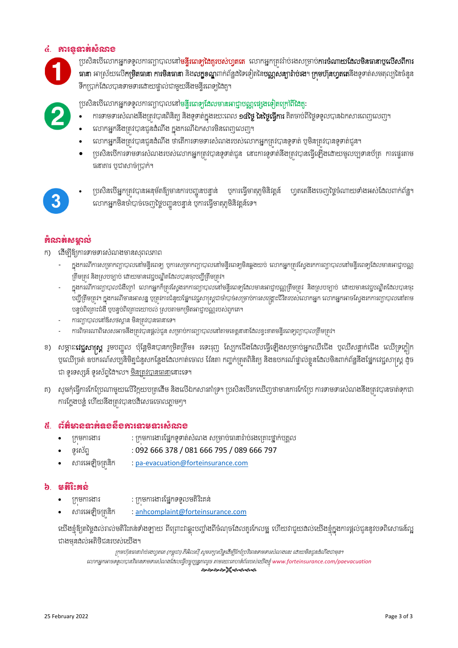## ៤. ករទូទត់សំណង



ប្រសិនបើលោកអ្នកទទួលការព្យាបាលនៅ**មន្ទីរពេទ្យដៃគូរបស់ហ្វតតេ** លោកអ្នកគ្រវ់រ៉ាប់រងសម្រាប់**ការចំណាយងែលមិនធានាឬលើសពីការ** ធានា អាស្រ័យលើ**កម្រិតធានា ការមិនធានា** និងល**ក្ខខណ្ឌ**ពាក់ព័ន្ឋឧទៃទៀតនៃ**បណ្ណសន្យារ៉ាប់រង**។ **ក្រមហ៊ុនហ្វតតេ**នឹងទូទាត់សមតុល្យនៃចំនួន

ទឹកប្រាក់ដែលបានទាមទារដោយផ្ទាល់ជាមួយនឹងមន្ទីរពេទ្យដៃគូ។

ប្រសិនបើលោកអ្នកទទួលការព្យាបាលនៅម<mark>ន្ទីរពេទ្យងែលមានអាជ្ញាបណ្ណផ្សេងទៀតក្រៅពីនៃ</mark>គ្

- ការទាមទារសំណងនឹងត្រូវបានពិនិត្យ និងទូទាត់ក្នុងរយៈពេល **១៤ថ្ងៃ នៃថ្ងៃធ្វើការ** គិតចាប់ពីថ្ងៃទទួលបានឯកសារពេញលេញ។ ĖО
- លោកអ្នកនឹងត្រូវបានជូនដំណឹង ក្នុងករណីឯកសារមិនពេញលេញ។
- លោកអ្នកនឹងត្រវ់បានជូនដំណឹង ថាតើការទាមទារសំណងរបស់លោកអ្នកត្រវ់បានទូទាត់ ឬមិនត្រវបានទូទាត់ជូន។
- ្រស្រីនបើការទាមទារសំណងរបស់លោកអ្នកត្រវ់បានទូទាត់ជូន នោះការទូទាត់នឹងត្រវបានធ្វើឡើងដោយមូលប្បទានប័ត្រ ការផ្ទេរតាម ធនាគារ បជាសាច់ប្រាក់។

• ប្រសិនបើអ្នកត្រវ់បានអនុម័តឱ្យមានការបញ្ជូនបន្ទាន់ បុការធ្វើមាតុភូមិនិវត្តនំ ហ្វតតេនិងចេញថ្ងៃចំណាយទាំងអស់ដែលពាក់ព័ន្ធ។ លោកអ្នកមិនចាំបាច់ចេញថ្ងៃបញ្ជូនបន្ទាន់ បុការធ្វើមាតុភូមិនិវត្តន៍ទេ។

## កំណត់សមគ ល់

ក) ដើម្បីឱ្យការទាមទារសំណងមានស្សាលភាព

- ក្នុងករណីការសម្រាកព្យាបាលនៅមន្ទីរពេទ្យ ឬការសម្រាកព្យាបាលនៅមន្ទីរពេទ្យមិនឆ្លងយប់ លោកអ្នកត្រវស្វែងរកការព្យាបាលនៅមន្ទីរពេទ្យដែលមានអាជ្ញាបណ្ណ កើមត្រវ់ និងស្របច្បាប់ ដោយមានវេជ្ជបណ្ឌិតងែលបានចុះបញ្ជីត្រឹមត្រវ់។
- ក្នុងករណីការព្យាបាលជំងឺក្រៅ លោកអ្នកក៏ត្រវស្វែងរកការព្យាបាលនៅមន្ទីរពេទ្យដែលមានអាជ្ញាបណ្ណត្រីមត្រវ និងស្របច្បាប់ ដោយមានវេជ្ជបណ្ឌិតដែលបានចុះ ់ចេញឹត្រឹមត្រវ់។ ក្នុងករណីមានអាសន្ន ឬត្រវ់ការជំនួយផ្នែកវេជ្ជសាស្ត្រជាចំាបច់សម្រាប់ការសង្រ្គោះជីវិតរបស់លោកអ្នក លោកអ្នកអាចស្វែងរកការព្យាបាលនៅតាម បន្ទប់ពិគ្រោះជំងឺ បូបនួប់ពិគ្រោះយោបល់ ស្របតាមកម្រិតអាជ្ញាបណ្ណរបស់ពួកគេ។
- ការព្យាបាលនៅឱសថស្ថាន មិនត្រវបានធានាទេ។
- ការពិចារណាពិសេសអាចនឹងត្រវបានផ្តល់ជូន សម្រាប់ការព្យាបាលនៅតាមខេត្តនានាដែលខ្វះខាតមន្ទីរពេទ្យព្យាបាលត្រឹមត្រវ។
- ខ) សម្ភារៈ**វេជ្ជសាស្ត្រ** រួមបញ្ចូល ប៉ុន្តែមិនបានកម្រិតត្រឹម៖ រទេះរុញ ស្បែកជើងងែលធ្វើឡើងសម្រាប់អ្នកឈឺជើង ឬឈឺសន្លាក់ជើង ឈើទ្រក្លៀក បុណ្យេចត៍ ឧបករណ៍សប្បនិមិត្តជំនួសកន្លែងដែលកាត់ចោល វ៉ៃនតា កញ្ចក់ត្រតពិនិត្យ និងឧបករណ៍ផ្ទាល់ខ្លួនដែលមិនពាក់ព័ន្ធនិងផ្នែកវេជ្ជសាស្ត្រ ង្កិច ជា ចូរទស្សន៍ ចូរស័ព្ទដៃ។ល។ <u>មិនត្រវបានធានា</u>នោះទេ។
- គ) សូមកុំធ្វើការកែប្រែណាមួយលើវិក្កយបត្រងើម និងលើឯកសារគាំទ្រ។ ប្រសិនបើរកឃើញថាមានការកែប្រែ ការទាមទារសំណងនឹងត្រវបានចាត់ទុកជា ការក្លែងបន្លំ ហើយនឹងត្រវបានបដិសេធចោលភ្លាមៗ។

## ៥. ព័ត៌មាននាក់ឧទស៏ខភារនាទនារសំលាទ

- Ū˝ОņŁũİũ : Ū˝ОņŁũİũЯĩ˝Ė◦РĈijс₤е‗₣ ₤ŪŌĠсēĜŬм Ġсũ₣ЮŪýй▫Ė˝сĠНÐðŲ
- ◦Рũ₤њĮĀ : 092 666 378 / 081 666 795 / 089 666 797
- សារអេឡិចត្រនិក : pa-evacuation@forteinsurance.com

## ៦. មត្តិរ៉ះគន់

- ក្រមការងារ ; ក្រមការងារផ្នែកទទួលមតិរិះគន់
- សារអេទ្បិចត្រនិក : anhcomplaint@forteinsurance.com

យើងខ្ញុំឱ្យតែថ្ងៃងល់រាល់មតិរិះគន់ទាំងទ្យាយ ពីព្រោះវាឆ្លុះបញ្ចាំងពីចំណុចដែលគួរកែលម្អ ហើយវាជួយដំលើយើងខ្ញុំក្នុងការផ្តល់ជូននូវបទពិសោធន៍ល្អ ជាងមុនងល់អតិថិជនរបស់យើង។

ក្រុមហ៊ុនធានារ៉ាច់រងហ្វតតេ (កម្ពុជា) ភីអិលស៊ី សូមរក្សាសិទ្ធដើម្បីកែប្រែវិធានទាមទារសំណងនេះ ដោយមិនជូនដំណឹងជាមុន។ Юŵ˝ΒĖ˝Ζş◦◦УŲģĕŷЋēĕĈņĈũ₤е‗₣ЯřŲЮĊĠşſЧ Ġġĕ ĆО ĖļĮũУş ″ņũŎкЮÐ΅◦еĮњũũĠ₤сЮŎЧ₣ŠńОе*www.forteinsurance.com/paevacuation* ๛๛๛๛๛๛๛๛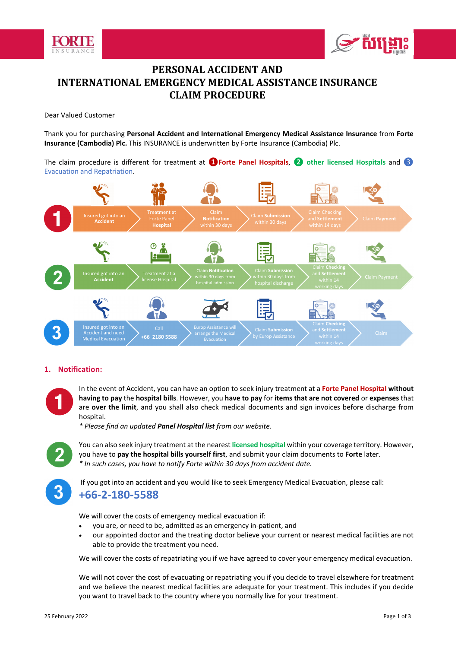



## **PERSONAL ACCIDENT AND INTERNATIONAL EMERGENCY MEDICAL ASSISTANCE INSURANCE CLAIM PROCEDURE**

Dear Valued Customer

Thank you for purchasing **Personal Accident and International Emergency Medical Assistance Insurance** from **Forte Insurance (Cambodia) Plc.** This INSURANCE is underwritten by Forte Insurance (Cambodia) Plc.

The claim procedure is different for treatment at **❶Forte Panel Hospitals**, **❷ other licensed Hospitals** and ❸ Evacuation and Repatriation.



## **1. Notification:**

In the event of Accident, you can have an option to seek injury treatment at a **Forte Panel Hospital without having to pay** the **hospital bills**. However, you **have to pay** for **items that are not covered** or **expenses** that are over the limit, and you shall also check medical documents and sign invoices before discharge from hospital.

*\* Please find an updated Panel Hospital list from our website.* 



You can also seek injury treatment at the nearest **licensed hospital** within your coverage territory. However, you have to **pay the hospital bills yourself first**, and submit your claim documents to **Forte** later. *\* In such cases, you have to notify Forte within 30 days from accident date.* 



 If you got into an accident and you would like to seek Emergency Medical Evacuation, please call: **+66‐2‐180‐5588** 

We will cover the costs of emergency medical evacuation if:

- you are, or need to be, admitted as an emergency in‐patient, and
- our appointed doctor and the treating doctor believe your current or nearest medical facilities are not able to provide the treatment you need.

We will cover the costs of repatriating you if we have agreed to cover your emergency medical evacuation.

We will not cover the cost of evacuating or repatriating you if you decide to travel elsewhere for treatment and we believe the nearest medical facilities are adequate for your treatment. This includes if you decide you want to travel back to the country where you normally live for your treatment.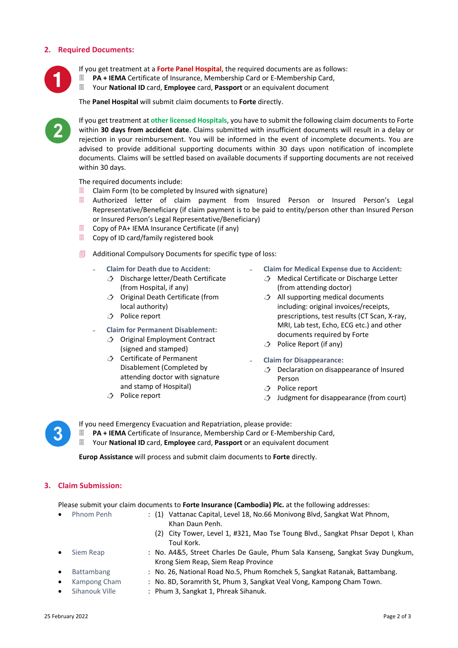### **2. Required Documents:**



If you get treatment at a **Forte Panel Hospital**, the required documents are as follows:

- **PA + IEMA** Certificate of Insurance, Membership Card or E‐Membership Card,
- Your **National ID** card, **Employee** card, **Passport** or an equivalent document

The **Panel Hospital** will submit claim documents to **Forte** directly.



If you get treatment at **other licensed Hospitals**, you have to submit the following claim documents to Forte within **30 days from accident date**. Claims submitted with insufficient documents will result in a delay or rejection in your reimbursement. You will be informed in the event of incomplete documents. You are advised to provide additional supporting documents within 30 days upon notification of incomplete documents. Claims will be settled based on available documents if supporting documents are not received within 30 days.

The required documents include:

- $\Box$  Claim Form (to be completed by Insured with signature)
- Authorized letter of claim payment from Insured Person or Insured Person's Legal Representative/Beneficiary (if claim payment is to be paid to entity/person other than Insured Person or Insured Person's Legal Representative/Beneficiary)
- Copy of PA+ IEMA Insurance Certificate (if any)
- Copy of ID card/family registered book
- Additional Compulsory Documents for specific type of loss:
	- ˗ **Claim for Death due to Accident:** 
		- $\triangle$  Discharge letter/Death Certificate (from Hospital, if any)
		- Original Death Certificate (from local authority)
		- Police report
	- ˗ **Claim for Permanent Disablement:** 
		- $\bigcirc$  Original Employment Contract (signed and stamped)
		- Certificate of Permanent Disablement (Completed by attending doctor with signature and stamp of Hospital)
		- Police report
- ˗ **Claim for Medical Expense due to Accident:** 
	- $\rightarrow$  Medical Certificate or Discharge Letter (from attending doctor)
	- $\hat{A}$  All supporting medical documents including: original invoices/receipts, prescriptions, test results (CT Scan, X‐ray, MRI, Lab test, Echo, ECG etc.) and other documents required by Forte
	- Police Report (if any)
- ˗ **Claim for Disappearance:** 
	- $\triangle$  Declaration on disappearance of Insured Person
	- Police report
	- $\hat{J}$  Judgment for disappearance (from court)



If you need Emergency Evacuation and Repatriation, please provide:

**PA + IEMA** Certificate of Insurance, Membership Card or E‐Membership Card,

Your **National ID** card, **Employee** card, **Passport** or an equivalent document

**Europ Assistance** will process and submit claim documents to **Forte** directly.

#### **3. Claim Submission:**

Please submit your claim documents to **Forte Insurance (Cambodia) Plc.** at the following addresses:

Krong Siem Reap, Siem Reap Province

- 
- Phnom Penh : (1) Vattanac Capital, Level 18, No.66 Monivong Blvd, Sangkat Wat Phnom, Khan Daun Penh.
	- (2) City Tower, Level 1, #321, Mao Tse Toung Blvd., Sangkat Phsar Depot I, Khan Toul Kork.
- Siem Reap : No. A4&5, Street Charles De Gaule, Phum Sala Kanseng, Sangkat Svay Dungkum,
- 
- 
- 
- Battambang : No. 26, National Road No.5, Phum Romchek 5, Sangkat Ratanak, Battambang.
- Kampong Cham : No. 8D, Soramrith St, Phum 3, Sangkat Veal Vong, Kampong Cham Town.
	- Sihanouk Ville : Phum 3, Sangkat 1, Phreak Sihanuk.